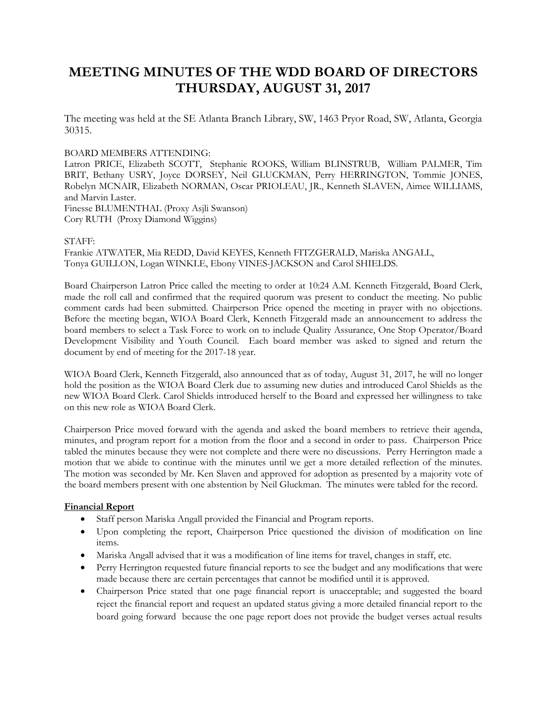# **MEETING MINUTES OF THE WDD BOARD OF DIRECTORS THURSDAY, AUGUST 31, 2017**

The meeting was held at the SE Atlanta Branch Library, SW, 1463 Pryor Road, SW, Atlanta, Georgia 30315.

#### BOARD MEMBERS ATTENDING:

Latron PRICE, Elizabeth SCOTT, Stephanie ROOKS, William BLINSTRUB, William PALMER, Tim BRIT, Bethany USRY, Joyce DORSEY, Neil GLUCKMAN, Perry HERRINGTON, Tommie JONES, Robelyn MCNAIR, Elizabeth NORMAN, Oscar PRIOLEAU, JR., Kenneth SLAVEN, Aimee WILLIAMS, and Marvin Laster. Finesse BLUMENTHAL (Proxy Asjli Swanson) Cory RUTH (Proxy Diamond Wiggins)

#### STAFF:

Frankie ATWATER, Mia REDD, David KEYES, Kenneth FITZGERALD, Mariska ANGALL, Tonya GUILLON, Logan WINKLE, Ebony VINES-JACKSON and Carol SHIELDS.

Board Chairperson Latron Price called the meeting to order at 10:24 A.M. Kenneth Fitzgerald, Board Clerk, made the roll call and confirmed that the required quorum was present to conduct the meeting. No public comment cards had been submitted. Chairperson Price opened the meeting in prayer with no objections. Before the meeting began, WIOA Board Clerk, Kenneth Fitzgerald made an announcement to address the board members to select a Task Force to work on to include Quality Assurance, One Stop Operator/Board Development Visibility and Youth Council. Each board member was asked to signed and return the document by end of meeting for the 2017-18 year.

WIOA Board Clerk, Kenneth Fitzgerald, also announced that as of today, August 31, 2017, he will no longer hold the position as the WIOA Board Clerk due to assuming new duties and introduced Carol Shields as the new WIOA Board Clerk. Carol Shields introduced herself to the Board and expressed her willingness to take on this new role as WIOA Board Clerk.

Chairperson Price moved forward with the agenda and asked the board members to retrieve their agenda, minutes, and program report for a motion from the floor and a second in order to pass. Chairperson Price tabled the minutes because they were not complete and there were no discussions. Perry Herrington made a motion that we abide to continue with the minutes until we get a more detailed reflection of the minutes. The motion was seconded by Mr. Ken Slaven and approved for adoption as presented by a majority vote of the board members present with one abstention by Neil Gluckman. The minutes were tabled for the record.

#### **Financial Report**

- Staff person Mariska Angall provided the Financial and Program reports.
- Upon completing the report, Chairperson Price questioned the division of modification on line items.
- Mariska Angall advised that it was a modification of line items for travel, changes in staff, etc.
- Perry Herrington requested future financial reports to see the budget and any modifications that were made because there are certain percentages that cannot be modified until it is approved.
- Chairperson Price stated that one page financial report is unacceptable; and suggested the board reject the financial report and request an updated status giving a more detailed financial report to the board going forward because the one page report does not provide the budget verses actual results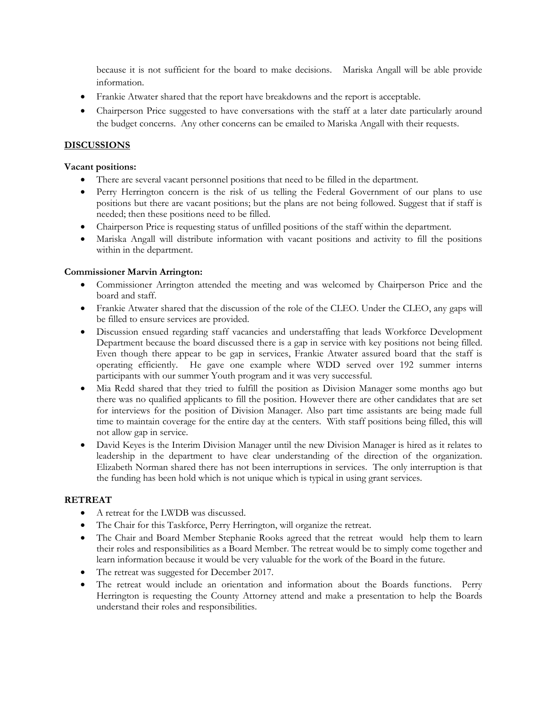because it is not sufficient for the board to make decisions. Mariska Angall will be able provide information.

- Frankie Atwater shared that the report have breakdowns and the report is acceptable.
- Chairperson Price suggested to have conversations with the staff at a later date particularly around the budget concerns. Any other concerns can be emailed to Mariska Angall with their requests.

## **DISCUSSIONS**

#### **Vacant positions:**

- There are several vacant personnel positions that need to be filled in the department.
- Perry Herrington concern is the risk of us telling the Federal Government of our plans to use positions but there are vacant positions; but the plans are not being followed. Suggest that if staff is needed; then these positions need to be filled.
- Chairperson Price is requesting status of unfilled positions of the staff within the department.
- Mariska Angall will distribute information with vacant positions and activity to fill the positions within in the department.

#### **Commissioner Marvin Arrington:**

- Commissioner Arrington attended the meeting and was welcomed by Chairperson Price and the board and staff.
- Frankie Atwater shared that the discussion of the role of the CLEO. Under the CLEO, any gaps will be filled to ensure services are provided.
- Discussion ensued regarding staff vacancies and understaffing that leads Workforce Development Department because the board discussed there is a gap in service with key positions not being filled. Even though there appear to be gap in services, Frankie Atwater assured board that the staff is operating efficiently. He gave one example where WDD served over 192 summer interns participants with our summer Youth program and it was very successful.
- Mia Redd shared that they tried to fulfill the position as Division Manager some months ago but there was no qualified applicants to fill the position. However there are other candidates that are set for interviews for the position of Division Manager. Also part time assistants are being made full time to maintain coverage for the entire day at the centers. With staff positions being filled, this will not allow gap in service.
- David Keyes is the Interim Division Manager until the new Division Manager is hired as it relates to leadership in the department to have clear understanding of the direction of the organization. Elizabeth Norman shared there has not been interruptions in services. The only interruption is that the funding has been hold which is not unique which is typical in using grant services.

## **RETREAT**

- A retreat for the LWDB was discussed.
- The Chair for this Taskforce, Perry Herrington, will organize the retreat.
- The Chair and Board Member Stephanie Rooks agreed that the retreat would help them to learn their roles and responsibilities as a Board Member. The retreat would be to simply come together and learn information because it would be very valuable for the work of the Board in the future.
- The retreat was suggested for December 2017.
- The retreat would include an orientation and information about the Boards functions. Perry Herrington is requesting the County Attorney attend and make a presentation to help the Boards understand their roles and responsibilities.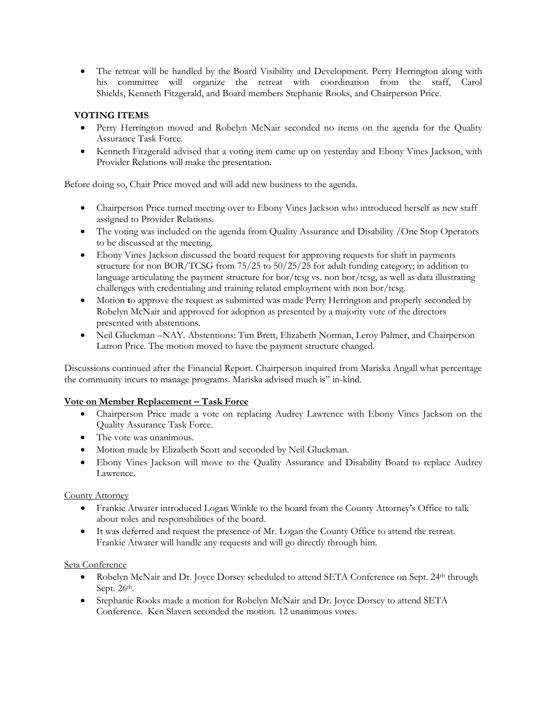The retreat will be handled by the Board Visibility and Development. Perry Herrington along with his committee will organize the retreat with coordination from the staff, Carol Shields, Kenneth Fitzgerald, and Board members Stephanie Rooks, and Chairperson Price.

# **VOTING ITEMS**

- Perry Herrington moved and Robelyn McNair seconded no items on the agenda for the Quality Assurance Task Force.
- Kenneth Fitzgerald advised that a voting item came up on yesterday and Ebony Vines Jackson, with Provider Relations will make the presentation.

Before doing so, Chair Price moved and will add new business to the agenda.

- Chairperson Price turned meeting over to Ebony Vines Jackson who introduced herself as new staff assigned to Provider Relations.
- The voting was included on the agenda from Quality Assurance and Disability / One Stop Operators to be discussed at the meeting.
- Ebony Vines Jackson discussed the board request for approving requests for shift in payments structure for non BOR/TCSG from 75/25 to 50/25/25 for adult funding category; in addition to language articulating the payment structure for  $bor/tcsg$  vs. non  $bor/tcsg$ , as well as data illustrating challenges with credentialing and training related employment with non bor/tcsg.
- Motion **t**o approve the request as submitted was made Perry Herrington and properly seconded by Robelyn McNair and approved for adoption as presented by a majority vote of the directors presented with abstentions.
- Neil Gluckman –NAY. Abstentions: Tim Brett, Elizabeth Norman, Leroy Palmer, and Chairperson Latron Price. The motion moved to have the payment structure changed.

Discussions continued after the Financial Report. Chairperson inquired from Mariska Angall what percentage the community incurs to manage programs. Mariska advised much is" in-kind.

## **Vote on Member Replacement – Task Force**

- Chairperson Price made a vote on replacing Audrey Lawrence with Ebony Vines Jackson on the Quality Assurance Task Force.
- The vote was unanimous.
- Motion made by Elizabeth Scott and seconded by Neil Gluckman.
- Ebony Vines Jackson will move to the Quality Assurance and Disability Board to replace Audrey Lawrence.

County Attorney

- Frankie Atwater introduced Logan Winkle to the board from the County Attorney's Office to talk about roles and responsibilities of the board.
- It was deferred and request the presence of Mr. Logan the County Office to attend the retreat. Frankie Atwater will handle any requests and will go directly through him.

#### Seta Conference

- Robelyn McNair and Dr. Joyce Dorsey scheduled to attend SETA Conference on Sept. 24<sup>th</sup> through Sept. 26<sup>th</sup>.
- Stephanie Rooks made a motion for Robelyn McNair and Dr. Joyce Dorsey to attend SETA Conference. Ken Slaven seconded the motion. 12 unanimous votes.